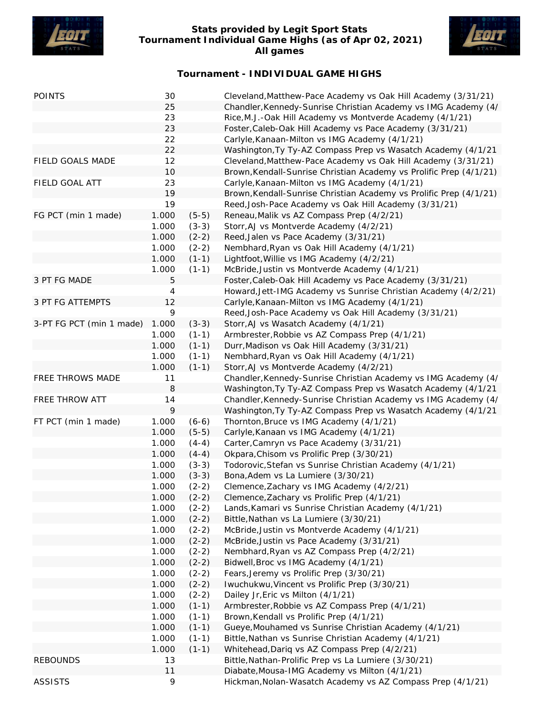

## **Stats provided by Legit Sport Stats Tournament Individual Game Highs (as of Apr 02, 2021) All games**



## **Tournament - INDIVIDUAL GAME HIGHS**

| <b>POINTS</b>            | 30    |         | Cleveland, Matthew-Pace Academy vs Oak Hill Academy (3/31/21)      |
|--------------------------|-------|---------|--------------------------------------------------------------------|
|                          | 25    |         | Chandler, Kennedy-Sunrise Christian Academy vs IMG Academy (4/     |
|                          | 23    |         | Rice, M.J.-Oak Hill Academy vs Montverde Academy (4/1/21)          |
|                          | 23    |         | Foster, Caleb-Oak Hill Academy vs Pace Academy (3/31/21)           |
|                          | 22    |         | Carlyle, Kanaan-Milton vs IMG Academy (4/1/21)                     |
|                          | 22    |         | Washington, Ty Ty-AZ Compass Prep vs Wasatch Academy (4/1/21       |
| FIELD GOALS MADE         | 12    |         | Cleveland, Matthew-Pace Academy vs Oak Hill Academy (3/31/21)      |
|                          | 10    |         | Brown, Kendall-Sunrise Christian Academy vs Prolific Prep (4/1/21) |
| FIELD GOAL ATT           | 23    |         | Carlyle, Kanaan-Milton vs IMG Academy (4/1/21)                     |
|                          | 19    |         | Brown, Kendall-Sunrise Christian Academy vs Prolific Prep (4/1/21) |
|                          | 19    |         | Reed, Josh-Pace Academy vs Oak Hill Academy (3/31/21)              |
| FG PCT (min 1 made)      | 1.000 | $(5-5)$ | Reneau, Malik vs AZ Compass Prep (4/2/21)                          |
|                          | 1.000 | $(3-3)$ | Storr, AJ vs Montverde Academy (4/2/21)                            |
|                          | 1.000 | $(2-2)$ | Reed, Jalen vs Pace Academy (3/31/21)                              |
|                          | 1.000 | $(2-2)$ | Nembhard, Ryan vs Oak Hill Academy (4/1/21)                        |
|                          | 1.000 | $(1-1)$ | Lightfoot, Willie vs IMG Academy (4/2/21)                          |
|                          | 1.000 | $(1-1)$ | McBride, Justin vs Montverde Academy (4/1/21)                      |
| 3 PT FG MADE             | 5     |         | Foster, Caleb-Oak Hill Academy vs Pace Academy (3/31/21)           |
|                          | 4     |         | Howard, Jett-IMG Academy vs Sunrise Christian Academy (4/2/21)     |
| 3 PT FG ATTEMPTS         | 12    |         | Carlyle, Kanaan-Milton vs IMG Academy (4/1/21)                     |
|                          | 9     |         |                                                                    |
|                          |       |         | Reed, Josh-Pace Academy vs Oak Hill Academy (3/31/21)              |
| 3-PT FG PCT (min 1 made) | 1.000 | $(3-3)$ | Storr, AJ vs Wasatch Academy (4/1/21)                              |
|                          | 1.000 | $(1-1)$ | Armbrester, Robbie vs AZ Compass Prep (4/1/21)                     |
|                          | 1.000 | $(1-1)$ | Durr, Madison vs Oak Hill Academy (3/31/21)                        |
|                          | 1.000 | $(1-1)$ | Nembhard, Ryan vs Oak Hill Academy (4/1/21)                        |
|                          | 1.000 | $(1-1)$ | Storr, AJ vs Montverde Academy (4/2/21)                            |
| FREE THROWS MADE         | 11    |         | Chandler, Kennedy-Sunrise Christian Academy vs IMG Academy (4/     |
|                          | 8     |         | Washington, Ty Ty-AZ Compass Prep vs Wasatch Academy (4/1/21       |
| FREE THROW ATT           | 14    |         | Chandler, Kennedy-Sunrise Christian Academy vs IMG Academy (4/     |
|                          | 9     |         | Washington, Ty Ty-AZ Compass Prep vs Wasatch Academy (4/1/21       |
| FT PCT (min 1 made)      | 1.000 | $(6-6)$ | Thornton, Bruce vs IMG Academy (4/1/21)                            |
|                          | 1.000 | $(5-5)$ | Carlyle, Kanaan vs IMG Academy (4/1/21)                            |
|                          | 1.000 | $(4-4)$ | Carter, Camryn vs Pace Academy (3/31/21)                           |
|                          | 1.000 | $(4-4)$ | Okpara, Chisom vs Prolific Prep (3/30/21)                          |
|                          | 1.000 | $(3-3)$ | Todorovic, Stefan vs Sunrise Christian Academy (4/1/21)            |
|                          | 1.000 | $(3-3)$ | Bona, Adem vs La Lumiere (3/30/21)                                 |
|                          | 1.000 | $(2-2)$ | Clemence, Zachary vs IMG Academy (4/2/21)                          |
|                          | 1.000 | $(2-2)$ | Clemence, Zachary vs Prolific Prep (4/1/21)                        |
|                          | 1.000 | $(2-2)$ | Lands, Kamari vs Sunrise Christian Academy (4/1/21)                |
|                          | 1.000 | $(2-2)$ | Bittle, Nathan vs La Lumiere (3/30/21)                             |
|                          | 1.000 | $(2-2)$ | McBride, Justin vs Montverde Academy (4/1/21)                      |
|                          | 1.000 | $(2-2)$ | McBride, Justin vs Pace Academy (3/31/21)                          |
|                          | 1.000 | $(2-2)$ | Nembhard, Ryan vs AZ Compass Prep (4/2/21)                         |
|                          | 1.000 | $(2-2)$ | Bidwell, Broc vs IMG Academy (4/1/21)                              |
|                          | 1.000 | $(2-2)$ | Fears, Jeremy vs Prolific Prep (3/30/21)                           |
|                          | 1.000 | $(2-2)$ | Iwuchukwu, Vincent vs Prolific Prep (3/30/21)                      |
|                          | 1.000 | $(2-2)$ | Dailey Jr, Eric vs Milton (4/1/21)                                 |
|                          | 1.000 | $(1-1)$ | Armbrester, Robbie vs AZ Compass Prep (4/1/21)                     |
|                          | 1.000 | $(1-1)$ | Brown, Kendall vs Prolific Prep (4/1/21)                           |
|                          | 1.000 | $(1-1)$ | Gueye, Mouhamed vs Sunrise Christian Academy (4/1/21)              |
|                          | 1.000 | $(1-1)$ | Bittle, Nathan vs Sunrise Christian Academy (4/1/21)               |
|                          | 1.000 | $(1-1)$ | Whitehead, Dariq vs AZ Compass Prep (4/2/21)                       |
| <b>REBOUNDS</b>          | 13    |         | Bittle, Nathan-Prolific Prep vs La Lumiere (3/30/21)               |
|                          | 11    |         | Diabate, Mousa-IMG Academy vs Milton (4/1/21)                      |
| <b>ASSISTS</b>           | 9     |         | Hickman, Nolan-Wasatch Academy vs AZ Compass Prep (4/1/21)         |